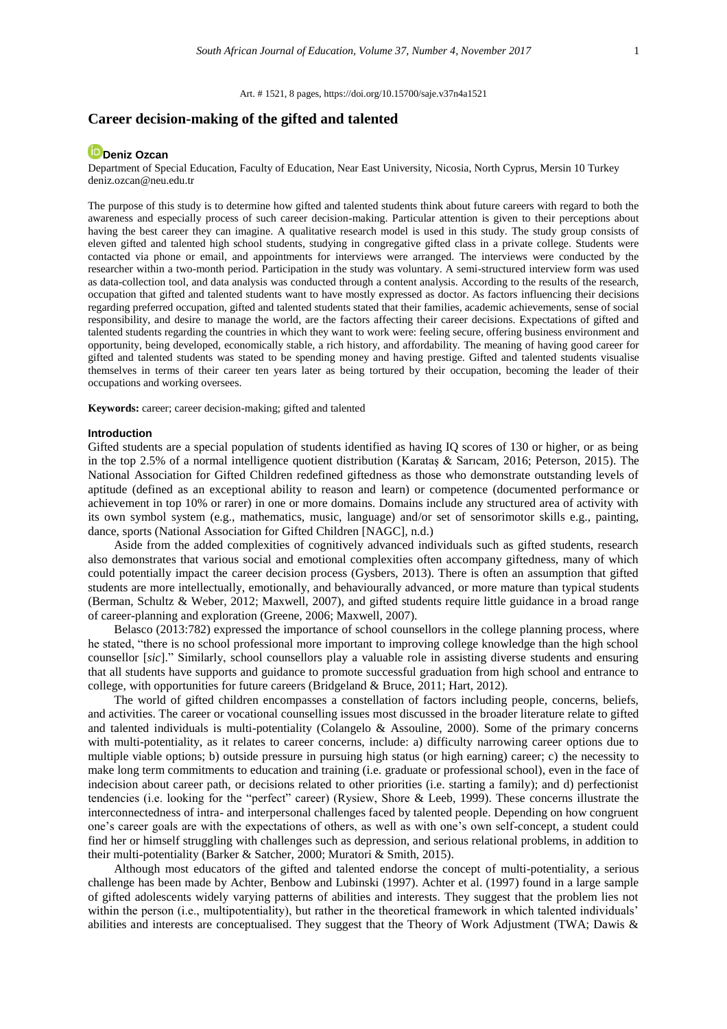Art. # 1521, 8 pages[, https://doi.org/10.15700/saje.v37n4a1521](https://doi.org/10.15700/saje.v37n4a1521)

# **Career decision-making of the gifted and talented**

# **D**[Deniz Ozcan](http://orcid.org/0000-0001-5495-8036)

Department of Special Education, Faculty of Education, Near East University, Nicosia, North Cyprus, Mersin 10 Turkey deniz.ozcan@neu.edu.tr

The purpose of this study is to determine how gifted and talented students think about future careers with regard to both the awareness and especially process of such career decision-making. Particular attention is given to their perceptions about having the best career they can imagine. A qualitative research model is used in this study. The study group consists of eleven gifted and talented high school students, studying in congregative gifted class in a private college. Students were contacted via phone or email, and appointments for interviews were arranged. The interviews were conducted by the researcher within a two-month period. Participation in the study was voluntary. A semi-structured interview form was used as data-collection tool, and data analysis was conducted through a content analysis. According to the results of the research, occupation that gifted and talented students want to have mostly expressed as doctor. As factors influencing their decisions regarding preferred occupation, gifted and talented students stated that their families, academic achievements, sense of social responsibility, and desire to manage the world, are the factors affecting their career decisions. Expectations of gifted and talented students regarding the countries in which they want to work were: feeling secure, offering business environment and opportunity, being developed, economically stable, a rich history, and affordability. The meaning of having good career for gifted and talented students was stated to be spending money and having prestige. Gifted and talented students visualise themselves in terms of their career ten years later as being tortured by their occupation, becoming the leader of their occupations and working oversees.

**Keywords:** career; career decision-making; gifted and talented

### **Introduction**

Gifted students are a special population of students identified as having IQ scores of 130 or higher, or as being in the top 2.5% of a normal intelligence quotient distribution (Karataş & Sarıcam, 2016; Peterson, 2015). The National Association for Gifted Children redefined giftedness as those who demonstrate outstanding levels of aptitude (defined as an exceptional ability to reason and learn) or competence (documented performance or achievement in top 10% or rarer) in one or more domains. Domains include any structured area of activity with its own symbol system (e.g., mathematics, music, language) and/or set of sensorimotor skills e.g., painting, dance, sports (National Association for Gifted Children [NAGC], n.d.)

Aside from the added complexities of cognitively advanced individuals such as gifted students, research also demonstrates that various social and emotional complexities often accompany giftedness, many of which could potentially impact the career decision process (Gysbers, 2013). There is often an assumption that gifted students are more intellectually, emotionally, and behaviourally advanced, or more mature than typical students (Berman, Schultz & Weber, 2012; Maxwell, 2007), and gifted students require little guidance in a broad range of career-planning and exploration (Greene, 2006; Maxwell, 2007).

Belasco (2013:782) expressed the importance of school counsellors in the college planning process, where he stated, "there is no school professional more important to improving college knowledge than the high school counsellor [*sic*]." Similarly, school counsellors play a valuable role in assisting diverse students and ensuring that all students have supports and guidance to promote successful graduation from high school and entrance to college, with opportunities for future careers (Bridgeland & Bruce, 2011; Hart, 2012).

The world of gifted children encompasses a constellation of factors including people, concerns, beliefs, and activities. The career or vocational counselling issues most discussed in the broader literature relate to gifted and talented individuals is multi-potentiality (Colangelo & Assouline, 2000). Some of the primary concerns with multi-potentiality, as it relates to career concerns, include: a) difficulty narrowing career options due to multiple viable options; b) outside pressure in pursuing high status (or high earning) career; c) the necessity to make long term commitments to education and training (i.e. graduate or professional school), even in the face of indecision about career path, or decisions related to other priorities (i.e. starting a family); and d) perfectionist tendencies (i.e. looking for the "perfect" career) (Rysiew, Shore & Leeb, 1999). These concerns illustrate the interconnectedness of intra- and interpersonal challenges faced by talented people. Depending on how congruent one's career goals are with the expectations of others, as well as with one's own self-concept, a student could find her or himself struggling with challenges such as depression, and serious relational problems, in addition to their multi-potentiality (Barker & Satcher, 2000; Muratori & Smith, 2015).

Although most educators of the gifted and talented endorse the concept of multi-potentiality, a serious challenge has been made by Achter, Benbow and Lubinski (1997). Achter et al. (1997) found in a large sample of gifted adolescents widely varying patterns of abilities and interests. They suggest that the problem lies not within the person (i.e., multipotentiality), but rather in the theoretical framework in which talented individuals' abilities and interests are conceptualised. They suggest that the Theory of Work Adjustment (TWA; Dawis &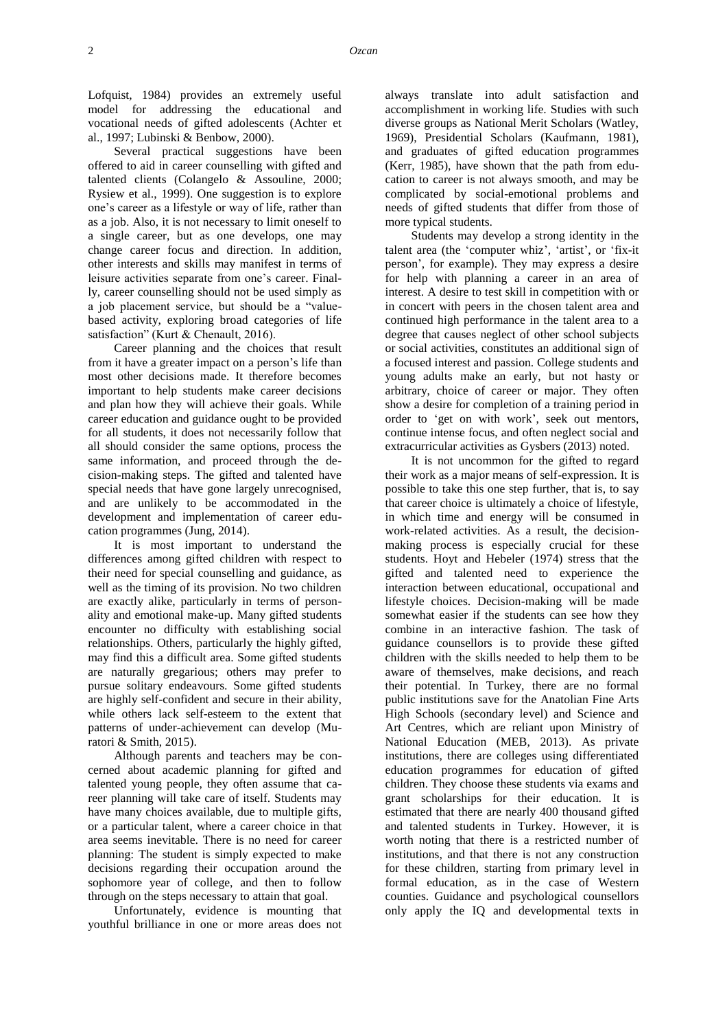Lofquist, 1984) provides an extremely useful model for addressing the educational and vocational needs of gifted adolescents (Achter et al., 1997; Lubinski & Benbow, 2000).

Several practical suggestions have been offered to aid in career counselling with gifted and talented clients (Colangelo & Assouline, 2000; Rysiew et al., 1999). One suggestion is to explore one's career as a lifestyle or way of life, rather than as a job. Also, it is not necessary to limit oneself to a single career, but as one develops, one may change career focus and direction. In addition, other interests and skills may manifest in terms of leisure activities separate from one's career. Finally, career counselling should not be used simply as a job placement service, but should be a "valuebased activity, exploring broad categories of life satisfaction" (Kurt & Chenault, 2016).

Career planning and the choices that result from it have a greater impact on a person's life than most other decisions made. It therefore becomes important to help students make career decisions and plan how they will achieve their goals. While career education and guidance ought to be provided for all students, it does not necessarily follow that all should consider the same options, process the same information, and proceed through the decision-making steps. The gifted and talented have special needs that have gone largely unrecognised, and are unlikely to be accommodated in the development and implementation of career education programmes (Jung, 2014).

It is most important to understand the differences among gifted children with respect to their need for special counselling and guidance, as well as the timing of its provision. No two children are exactly alike, particularly in terms of personality and emotional make-up. Many gifted students encounter no difficulty with establishing social relationships. Others, particularly the highly gifted, may find this a difficult area. Some gifted students are naturally gregarious; others may prefer to pursue solitary endeavours. Some gifted students are highly self-confident and secure in their ability, while others lack self-esteem to the extent that patterns of under-achievement can develop (Muratori & Smith, 2015).

Although parents and teachers may be concerned about academic planning for gifted and talented young people, they often assume that career planning will take care of itself. Students may have many choices available, due to multiple gifts, or a particular talent, where a career choice in that area seems inevitable. There is no need for career planning: The student is simply expected to make decisions regarding their occupation around the sophomore year of college, and then to follow through on the steps necessary to attain that goal.

Unfortunately, evidence is mounting that youthful brilliance in one or more areas does not always translate into adult satisfaction and accomplishment in working life. Studies with such diverse groups as National Merit Scholars (Watley, 1969), Presidential Scholars (Kaufmann, 1981), and graduates of gifted education programmes (Kerr, 1985), have shown that the path from education to career is not always smooth, and may be complicated by social-emotional problems and needs of gifted students that differ from those of more typical students.

Students may develop a strong identity in the talent area (the 'computer whiz', 'artist', or 'fix-it person', for example). They may express a desire for help with planning a career in an area of interest. A desire to test skill in competition with or in concert with peers in the chosen talent area and continued high performance in the talent area to a degree that causes neglect of other school subjects or social activities, constitutes an additional sign of a focused interest and passion. College students and young adults make an early, but not hasty or arbitrary, choice of career or major. They often show a desire for completion of a training period in order to 'get on with work', seek out mentors, continue intense focus, and often neglect social and extracurricular activities as Gysbers (2013) noted.

It is not uncommon for the gifted to regard their work as a major means of self-expression. It is possible to take this one step further, that is, to say that career choice is ultimately a choice of lifestyle, in which time and energy will be consumed in work-related activities. As a result, the decisionmaking process is especially crucial for these students. Hoyt and Hebeler (1974) stress that the gifted and talented need to experience the interaction between educational, occupational and lifestyle choices. Decision-making will be made somewhat easier if the students can see how they combine in an interactive fashion. The task of guidance counsellors is to provide these gifted children with the skills needed to help them to be aware of themselves, make decisions, and reach their potential. In Turkey, there are no formal public institutions save for the Anatolian Fine Arts High Schools (secondary level) and Science and Art Centres, which are reliant upon Ministry of National Education (MEB, 2013). As private institutions, there are colleges using differentiated education programmes for education of gifted children. They choose these students via exams and grant scholarships for their education. It is estimated that there are nearly 400 thousand gifted and talented students in Turkey. However, it is worth noting that there is a restricted number of institutions, and that there is not any construction for these children, starting from primary level in formal education, as in the case of Western counties. Guidance and psychological counsellors only apply the IQ and developmental texts in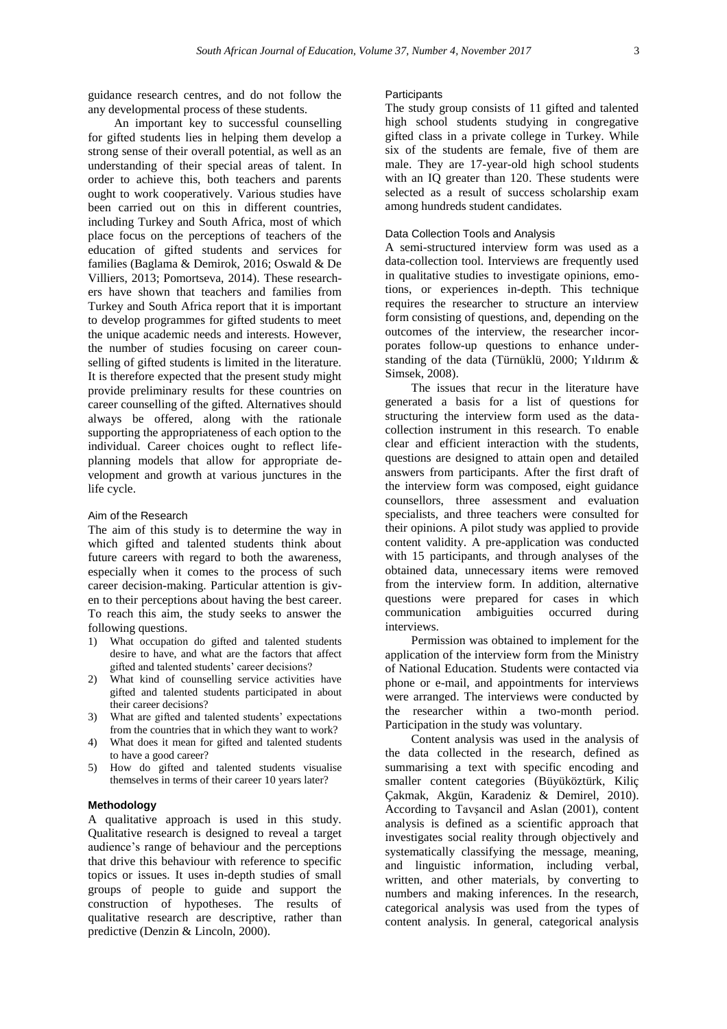guidance research centres, and do not follow the any developmental process of these students.

An important key to successful counselling for gifted students lies in helping them develop a strong sense of their overall potential, as well as an understanding of their special areas of talent. In order to achieve this, both teachers and parents ought to work cooperatively. Various studies have been carried out on this in different countries, including Turkey and South Africa, most of which place focus on the perceptions of teachers of the education of gifted students and services for families (Baglama & Demirok, 2016; Oswald & De Villiers, 2013; Pomortseva, 2014). These researchers have shown that teachers and families from Turkey and South Africa report that it is important to develop programmes for gifted students to meet the unique academic needs and interests. However, the number of studies focusing on career counselling of gifted students is limited in the literature. It is therefore expected that the present study might provide preliminary results for these countries on career counselling of the gifted. Alternatives should always be offered, along with the rationale supporting the appropriateness of each option to the individual. Career choices ought to reflect lifeplanning models that allow for appropriate development and growth at various junctures in the life cycle.

### Aim of the Research

The aim of this study is to determine the way in which gifted and talented students think about future careers with regard to both the awareness, especially when it comes to the process of such career decision-making. Particular attention is given to their perceptions about having the best career. To reach this aim, the study seeks to answer the following questions.

- 1) What occupation do gifted and talented students desire to have, and what are the factors that affect gifted and talented students' career decisions?
- 2) What kind of counselling service activities have gifted and talented students participated in about their career decisions?
- 3) What are gifted and talented students' expectations from the countries that in which they want to work?
- 4) What does it mean for gifted and talented students to have a good career?
- 5) How do gifted and talented students visualise themselves in terms of their career 10 years later?

#### **Methodology**

A qualitative approach is used in this study. Qualitative research is designed to reveal a target audience's range of behaviour and the perceptions that drive this behaviour with reference to specific topics or issues. It uses in-depth studies of small groups of people to guide and support the construction of hypotheses. The results of qualitative research are descriptive, rather than predictive (Denzin & Lincoln, 2000).

#### **Participants**

The study group consists of 11 gifted and talented high school students studying in congregative gifted class in a private college in Turkey. While six of the students are female, five of them are male. They are 17-year-old high school students with an IQ greater than 120. These students were selected as a result of success scholarship exam among hundreds student candidates.

# Data Collection Tools and Analysis

A semi-structured interview form was used as a data-collection tool. Interviews are frequently used in qualitative studies to investigate opinions, emotions, or experiences in-depth. This technique requires the researcher to structure an interview form consisting of questions, and, depending on the outcomes of the interview, the researcher incorporates follow-up questions to enhance understanding of the data (Türnüklü, 2000; Yıldırım & Simsek, 2008).

The issues that recur in the literature have generated a basis for a list of questions for structuring the interview form used as the datacollection instrument in this research. To enable clear and efficient interaction with the students, questions are designed to attain open and detailed answers from participants. After the first draft of the interview form was composed, eight guidance counsellors, three assessment and evaluation specialists, and three teachers were consulted for their opinions. A pilot study was applied to provide content validity. A pre-application was conducted with 15 participants, and through analyses of the obtained data, unnecessary items were removed from the interview form. In addition, alternative questions were prepared for cases in which communication ambiguities occurred during interviews.

Permission was obtained to implement for the application of the interview form from the Ministry of National Education. Students were contacted via phone or e-mail, and appointments for interviews were arranged. The interviews were conducted by the researcher within a two-month period. Participation in the study was voluntary.

Content analysis was used in the analysis of the data collected in the research, defined as summarising a text with specific encoding and smaller content categories (Büyüköztürk, Kiliç Çakmak, Akgün, Karadeniz & Demirel, 2010). According to Tavşancil and Aslan (2001), content analysis is defined as a scientific approach that investigates social reality through objectively and systematically classifying the message, meaning, and linguistic information, including verbal, written, and other materials, by converting to numbers and making inferences. In the research, categorical analysis was used from the types of content analysis. In general, categorical analysis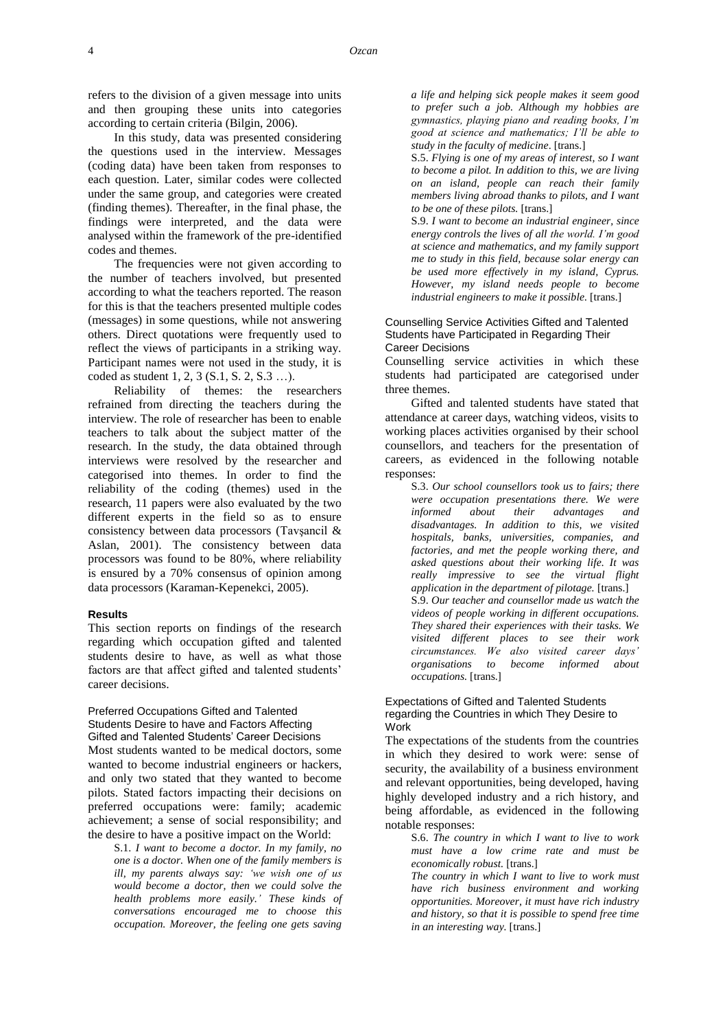4 *Ozcan*

refers to the division of a given message into units and then grouping these units into categories according to certain criteria (Bilgin, 2006).

In this study, data was presented considering the questions used in the interview. Messages (coding data) have been taken from responses to each question. Later, similar codes were collected under the same group, and categories were created (finding themes). Thereafter, in the final phase, the findings were interpreted, and the data were analysed within the framework of the pre-identified codes and themes.

The frequencies were not given according to the number of teachers involved, but presented according to what the teachers reported. The reason for this is that the teachers presented multiple codes (messages) in some questions, while not answering others. Direct quotations were frequently used to reflect the views of participants in a striking way. Participant names were not used in the study, it is coded as student 1, 2, 3 (S.1, S. 2, S.3 …).

Reliability of themes: the researchers refrained from directing the teachers during the interview. The role of researcher has been to enable teachers to talk about the subject matter of the research. In the study, the data obtained through interviews were resolved by the researcher and categorised into themes. In order to find the reliability of the coding (themes) used in the research, 11 papers were also evaluated by the two different experts in the field so as to ensure consistency between data processors (Tavşancil & Aslan, 2001). The consistency between data processors was found to be 80%, where reliability is ensured by a 70% consensus of opinion among data processors (Karaman-Kepenekci, 2005).

#### **Results**

This section reports on findings of the research regarding which occupation gifted and talented students desire to have, as well as what those factors are that affect gifted and talented students' career decisions.

Preferred Occupations Gifted and Talented Students Desire to have and Factors Affecting Gifted and Talented Students' Career Decisions Most students wanted to be medical doctors, some wanted to become industrial engineers or hackers, and only two stated that they wanted to become pilots. Stated factors impacting their decisions on preferred occupations were: family; academic achievement; a sense of social responsibility; and the desire to have a positive impact on the World:

> S.1. *I want to become a doctor. In my family, no one is a doctor. When one of the family members is ill, my parents always say: 'we wish one of us would become a doctor, then we could solve the health problems more easily.' These kinds of conversations encouraged me to choose this occupation. Moreover, the feeling one gets saving*

*a life and helping sick people makes it seem good to prefer such a job. Although my hobbies are gymnastics, playing piano and reading books, I'm good at science and mathematics; I'll be able to study in the faculty of medicine*. [trans.]

S.5. *Flying is one of my areas of interest, so I want to become a pilot. In addition to this, we are living on an island, people can reach their family members living abroad thanks to pilots, and I want to be one of these pilots.* [trans.]

S.9. *I want to become an industrial engineer, since energy controls the lives of all the world. I'm good at science and mathematics, and my family support me to study in this field, because solar energy can be used more effectively in my island, Cyprus. However, my island needs people to become industrial engineers to make it possible.* [trans.]

#### Counselling Service Activities Gifted and Talented Students have Participated in Regarding Their Career Decisions

Counselling service activities in which these students had participated are categorised under three themes.

Gifted and talented students have stated that attendance at career days, watching videos, visits to working places activities organised by their school counsellors, and teachers for the presentation of careers, as evidenced in the following notable responses:

S.3. *Our school counsellors took us to fairs; there were occupation presentations there. We were informed about their advantages and disadvantages. In addition to this, we visited hospitals, banks, universities, companies, and factories, and met the people working there, and asked questions about their working life. It was really impressive to see the virtual flight application in the department of pilotage.* [trans.] S.9. *Our teacher and counsellor made us watch the videos of people working in different occupations. They shared their experiences with their tasks. We visited different places to see their work circumstances. We also visited career days' organisations to become informed about occupations.* [trans.]

### Expectations of Gifted and Talented Students regarding the Countries in which They Desire to **Work**

The expectations of the students from the countries in which they desired to work were: sense of security, the availability of a business environment and relevant opportunities, being developed, having highly developed industry and a rich history, and being affordable, as evidenced in the following notable responses:

S.6. *The country in which I want to live to work must have a low crime rate and must be economically robust.* [trans.]

*The country in which I want to live to work must have rich business environment and working opportunities. Moreover, it must have rich industry and history, so that it is possible to spend free time in an interesting way.* [trans.]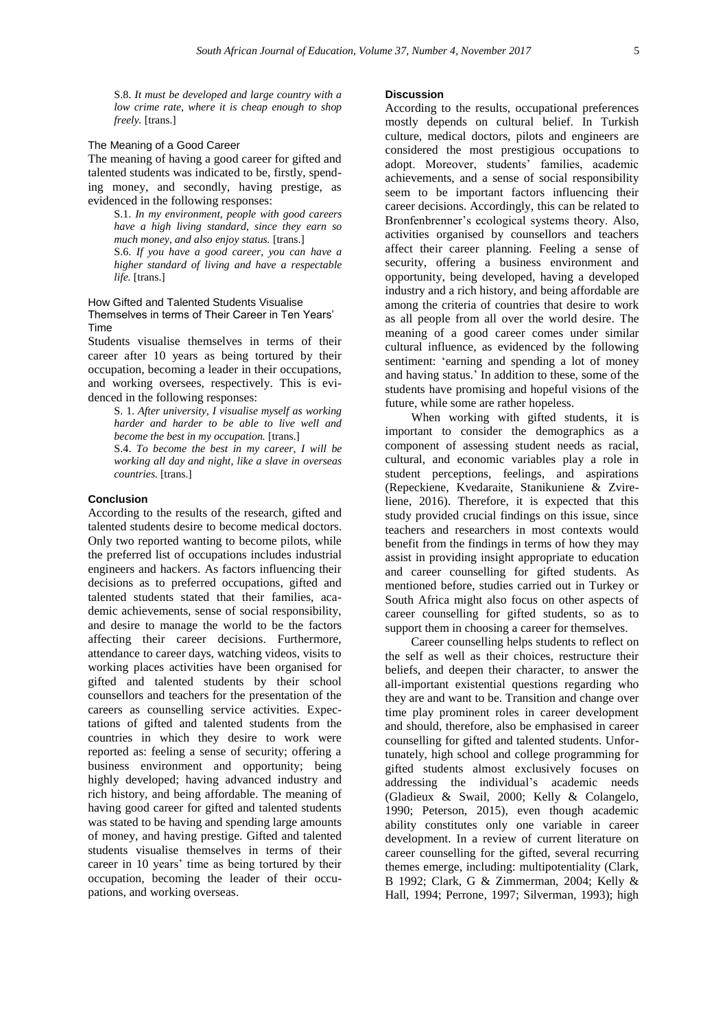S.8. *It must be developed and large country with a low crime rate, where it is cheap enough to shop freely.* [trans.]

#### The Meaning of a Good Career

The meaning of having a good career for gifted and talented students was indicated to be, firstly, spending money, and secondly, having prestige, as evidenced in the following responses:

S.1. *In my environment, people with good careers have a high living standard, since they earn so much money, and also enjoy status.* [trans.] S.6. *If you have a good career, you can have a higher standard of living and have a respectable life.* [trans.]

### How Gifted and Talented Students Visualise Themselves in terms of Their Career in Ten Years' Time

Students visualise themselves in terms of their career after 10 years as being tortured by their occupation, becoming a leader in their occupations, and working oversees, respectively. This is evidenced in the following responses:

> S. 1. *After university, I visualise myself as working harder and harder to be able to live well and become the best in my occupation.* [trans.]

> S.4. *To become the best in my career, I will be working all day and night, like a slave in overseas countries.* [trans.]

#### **Conclusion**

According to the results of the research, gifted and talented students desire to become medical doctors. Only two reported wanting to become pilots, while the preferred list of occupations includes industrial engineers and hackers. As factors influencing their decisions as to preferred occupations, gifted and talented students stated that their families, academic achievements, sense of social responsibility, and desire to manage the world to be the factors affecting their career decisions. Furthermore, attendance to career days, watching videos, visits to working places activities have been organised for gifted and talented students by their school counsellors and teachers for the presentation of the careers as counselling service activities. Expectations of gifted and talented students from the countries in which they desire to work were reported as: feeling a sense of security; offering a business environment and opportunity; being highly developed; having advanced industry and rich history, and being affordable. The meaning of having good career for gifted and talented students was stated to be having and spending large amounts of money, and having prestige. Gifted and talented students visualise themselves in terms of their career in 10 years' time as being tortured by their occupation, becoming the leader of their occupations, and working overseas.

### **Discussion**

According to the results, occupational preferences mostly depends on cultural belief. In Turkish culture, medical doctors, pilots and engineers are considered the most prestigious occupations to adopt. Moreover, students' families, academic achievements, and a sense of social responsibility seem to be important factors influencing their career decisions. Accordingly, this can be related to Bronfenbrenner's ecological systems theory. Also, activities organised by counsellors and teachers affect their career planning. Feeling a sense of security, offering a business environment and opportunity, being developed, having a developed industry and a rich history, and being affordable are among the criteria of countries that desire to work as all people from all over the world desire. The meaning of a good career comes under similar cultural influence, as evidenced by the following sentiment: 'earning and spending a lot of money and having status.' In addition to these, some of the students have promising and hopeful visions of the future, while some are rather hopeless.

When working with gifted students, it is important to consider the demographics as a component of assessing student needs as racial, cultural, and economic variables play a role in student perceptions, feelings, and aspirations (Repeckiene, Kvedaraite, Stanikuniene & Zvireliene, 2016). Therefore, it is expected that this study provided crucial findings on this issue, since teachers and researchers in most contexts would benefit from the findings in terms of how they may assist in providing insight appropriate to education and career counselling for gifted students. As mentioned before, studies carried out in Turkey or South Africa might also focus on other aspects of career counselling for gifted students, so as to support them in choosing a career for themselves.

Career counselling helps students to reflect on the self as well as their choices, restructure their beliefs, and deepen their character, to answer the all-important existential questions regarding who they are and want to be. Transition and change over time play prominent roles in career development and should, therefore, also be emphasised in career counselling for gifted and talented students. Unfortunately, high school and college programming for gifted students almost exclusively focuses on addressing the individual's academic needs (Gladieux & Swail, 2000; Kelly & Colangelo, 1990; Peterson, 2015), even though academic ability constitutes only one variable in career development. In a review of current literature on career counselling for the gifted, several recurring themes emerge, including: multipotentiality (Clark, B 1992; Clark, G & Zimmerman, 2004; Kelly & Hall, 1994; Perrone, 1997; Silverman, 1993); high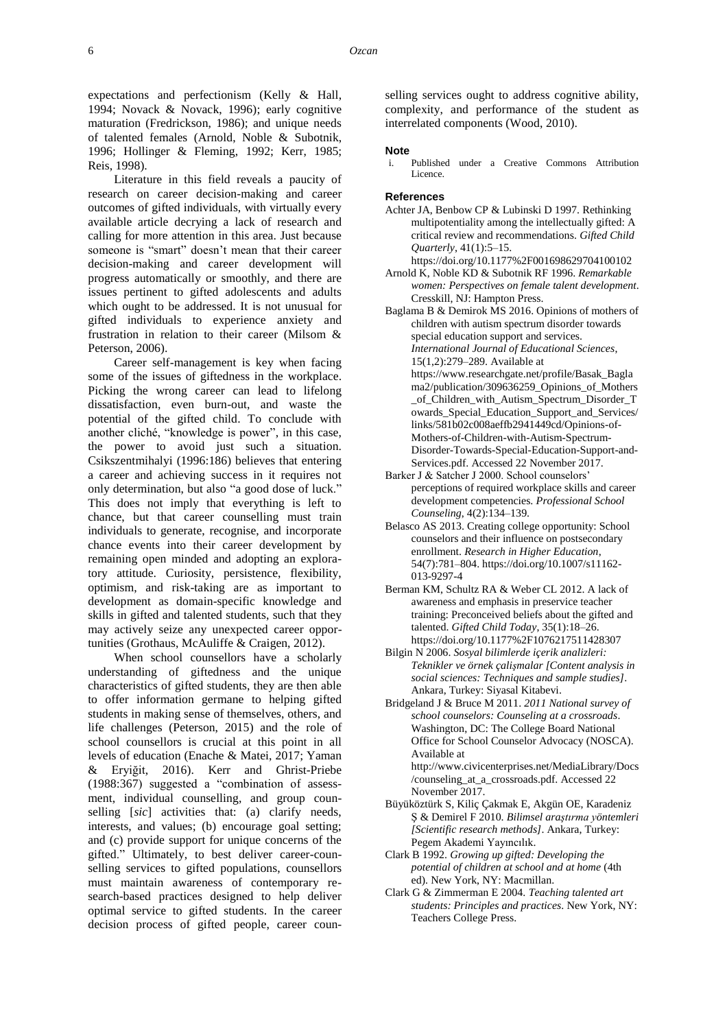expectations and perfectionism (Kelly & Hall, 1994; Novack & Novack, 1996); early cognitive maturation (Fredrickson, 1986); and unique needs of talented females (Arnold, Noble & Subotnik, 1996; Hollinger & Fleming, 1992; Kerr, 1985; Reis, 1998).

Literature in this field reveals a paucity of research on career [decision-making](https://www.psychologytoday.com/basics/decision-making) and career outcomes of gifted individuals, with virtually every available article decrying a lack of research and calling for more attention in this area. Just because someone is "smart" doesn't mean that their career decision-making and career development will progress automatically or smoothly, and there are issues pertinent to gifted adolescents and adults which ought to be addressed. It is not unusual for gifted individuals to experience anxiety and frustration in relation to their career (Milsom & Peterson, 2006).

Career self-management is key when facing some of the issues of giftedness in the workplace. Picking the wrong career can lead to lifelong dissatisfaction, even burn-out, and waste the potential of the gifted child. To conclude with another cliché, "knowledge is power", in this case, the power to avoid just such a situation. Csikszentmihalyi (1996:186) believes that entering a career and achieving success in it requires not only determination, but also "a good dose of luck." This does not imply that everything is left to chance, but that career counselling must train individuals to generate, recognise, and incorporate chance events into their career development by remaining open minded and adopting an exploratory attitude. Curiosity, persistence, flexibility, optimism, and risk-taking are as important to development as domain-specific knowledge and skills in gifted and talented students, such that they may actively seize any unexpected career opportunities (Grothaus, McAuliffe & Craigen, 2012).

When school counsellors have a scholarly understanding of giftedness and the unique characteristics of gifted students, they are then able to offer information germane to helping gifted students in making sense of themselves, others, and life challenges (Peterson, 2015) and the role of school counsellors is crucial at this point in all levels of education (Enache & Matei, 2017; Yaman & Eryiğit, 2016). Kerr and Ghrist-Priebe (1988:367) suggested a "combination of assessment, individual counselling, and group counselling [*sic*] activities that: (a) clarify needs, interests, and values; (b) encourage goal setting; and (c) provide support for unique concerns of the gifted." Ultimately, to best deliver career-counselling services to gifted populations, counsellors must maintain awareness of contemporary research-based practices designed to help deliver optimal service to gifted students. In the career decision process of gifted people, career counselling services ought to address cognitive ability, complexity, and performance of the student as interrelated components (Wood, 2010).

#### **Note**

Published under a Creative Commons Attribution Licence.

#### **References**

- Achter JA, Benbow CP & Lubinski D 1997. Rethinking multipotentiality among the intellectually gifted: A critical review and recommendations. *Gifted Child Quarterly*, 41(1):5–15.
- <https://doi.org/10.1177%2F001698629704100102> Arnold K, Noble KD & Subotnik RF 1996. *Remarkable women: Perspectives on female talent development*. Cresskill, NJ: Hampton Press.

Baglama B & Demirok MS 2016. Opinions of mothers of children with autism spectrum disorder towards special education support and services. *International Journal of Educational Sciences*, 15(1,2):279–289. Available at [https://www.researchgate.net/profile/Basak\\_Bagla](https://www.researchgate.net/profile/Basak_Baglama2/publication/309636259_Opinions_of_Mothers_of_Children_with_Autism_Spectrum_Disorder_Towards_Special_Education_Support_and_Services/links/581b02c008aeffb2941449cd/Opinions-of-Mothers-of-Children-with-Autism-Spectrum-Disorder-Towards-Special-Education-Support-and-Services.pdf) [ma2/publication/309636259\\_Opinions\\_of\\_Mothers](https://www.researchgate.net/profile/Basak_Baglama2/publication/309636259_Opinions_of_Mothers_of_Children_with_Autism_Spectrum_Disorder_Towards_Special_Education_Support_and_Services/links/581b02c008aeffb2941449cd/Opinions-of-Mothers-of-Children-with-Autism-Spectrum-Disorder-Towards-Special-Education-Support-and-Services.pdf) [\\_of\\_Children\\_with\\_Autism\\_Spectrum\\_Disorder\\_T](https://www.researchgate.net/profile/Basak_Baglama2/publication/309636259_Opinions_of_Mothers_of_Children_with_Autism_Spectrum_Disorder_Towards_Special_Education_Support_and_Services/links/581b02c008aeffb2941449cd/Opinions-of-Mothers-of-Children-with-Autism-Spectrum-Disorder-Towards-Special-Education-Support-and-Services.pdf) [owards\\_Special\\_Education\\_Support\\_and\\_Services/](https://www.researchgate.net/profile/Basak_Baglama2/publication/309636259_Opinions_of_Mothers_of_Children_with_Autism_Spectrum_Disorder_Towards_Special_Education_Support_and_Services/links/581b02c008aeffb2941449cd/Opinions-of-Mothers-of-Children-with-Autism-Spectrum-Disorder-Towards-Special-Education-Support-and-Services.pdf) [links/581b02c008aeffb2941449cd/Opinions-of-](https://www.researchgate.net/profile/Basak_Baglama2/publication/309636259_Opinions_of_Mothers_of_Children_with_Autism_Spectrum_Disorder_Towards_Special_Education_Support_and_Services/links/581b02c008aeffb2941449cd/Opinions-of-Mothers-of-Children-with-Autism-Spectrum-Disorder-Towards-Special-Education-Support-and-Services.pdf)[Mothers-of-Children-with-Autism-Spectrum-](https://www.researchgate.net/profile/Basak_Baglama2/publication/309636259_Opinions_of_Mothers_of_Children_with_Autism_Spectrum_Disorder_Towards_Special_Education_Support_and_Services/links/581b02c008aeffb2941449cd/Opinions-of-Mothers-of-Children-with-Autism-Spectrum-Disorder-Towards-Special-Education-Support-and-Services.pdf)[Disorder-Towards-Special-Education-Support-and-](https://www.researchgate.net/profile/Basak_Baglama2/publication/309636259_Opinions_of_Mothers_of_Children_with_Autism_Spectrum_Disorder_Towards_Special_Education_Support_and_Services/links/581b02c008aeffb2941449cd/Opinions-of-Mothers-of-Children-with-Autism-Spectrum-Disorder-Towards-Special-Education-Support-and-Services.pdf)[Services.pdf.](https://www.researchgate.net/profile/Basak_Baglama2/publication/309636259_Opinions_of_Mothers_of_Children_with_Autism_Spectrum_Disorder_Towards_Special_Education_Support_and_Services/links/581b02c008aeffb2941449cd/Opinions-of-Mothers-of-Children-with-Autism-Spectrum-Disorder-Towards-Special-Education-Support-and-Services.pdf) Accessed 22 November 2017.

- Barker J & Satcher J 2000. School counselors' perceptions of required workplace skills and career development competencies. *Professional School Counseling*, 4(2):134–139.
- Belasco AS 2013. Creating college opportunity: School counselors and their influence on postsecondary enrollment. *Research in Higher Education*, 54(7):781–804. [https://doi.org/10.1007/s11162-](https://doi.org/10.1007/s11162-013-9297-4) [013-9297-4](https://doi.org/10.1007/s11162-013-9297-4)
- Berman KM, Schultz RA & Weber CL 2012. A lack of awareness and emphasis in preservice teacher training: Preconceived beliefs about the gifted and talented. *Gifted Child Today*, 35(1):18–26. <https://doi.org/10.1177%2F1076217511428307>
- Bilgin N 2006. *Sosyal bilimlerde içerik analizleri: Teknikler ve örnek çalişmalar [Content analysis in social sciences: Techniques and sample studies]*. Ankara, Turkey: Siyasal Kitabevi.
- Bridgeland J & Bruce M 2011. *2011 National survey of school counselors: Counseling at a crossroads*. Washington, DC: The College Board National Office for School Counselor Advocacy (NOSCA). Available at

[http://www.civicenterprises.net/MediaLibrary/Docs](http://www.civicenterprises.net/MediaLibrary/Docs/counseling_at_a_crossroads.pdf) [/counseling\\_at\\_a\\_crossroads.pdf.](http://www.civicenterprises.net/MediaLibrary/Docs/counseling_at_a_crossroads.pdf) Accessed 22 November 2017.

- Büyüköztürk S, Kiliç Çakmak E, Akgün OE, Karadeniz Ş & Demirel F 2010. *Bilimsel araştırma yöntemleri [Scientific research methods]*. Ankara, Turkey: Pegem Akademi Yayıncılık.
- Clark B 1992. *Growing up gifted: Developing the potential of children at school and at home* (4th ed). New York, NY: Macmillan.
- Clark G & Zimmerman E 2004. *Teaching talented art students: Principles and practices*. New York, NY: Teachers College Press.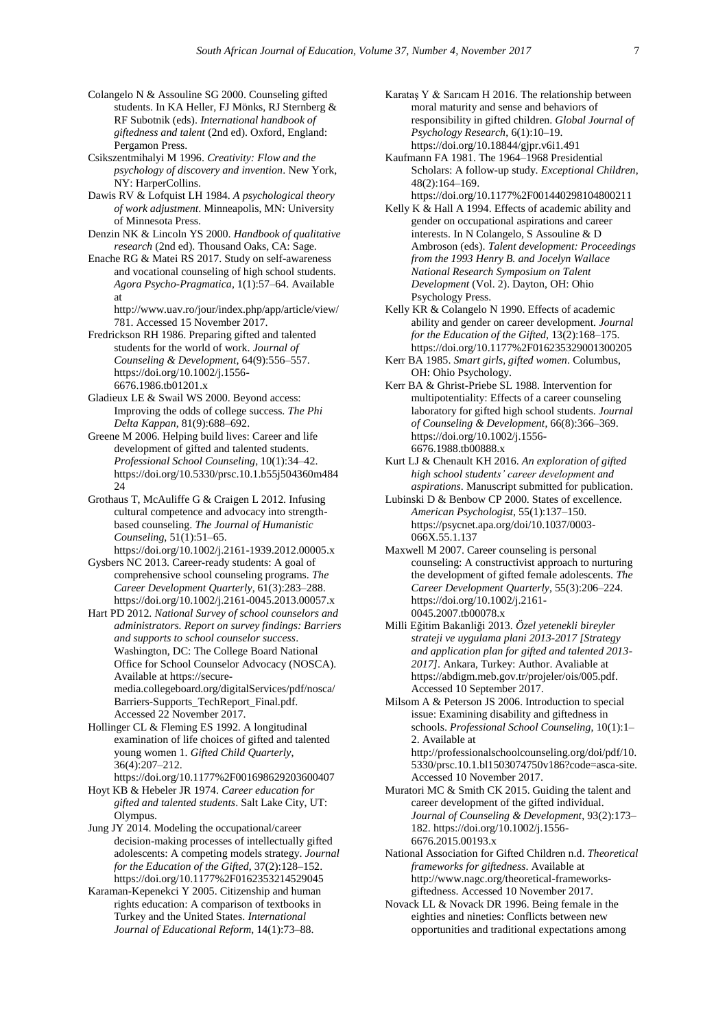Colangelo N & Assouline SG 2000. Counseling gifted students. In KA Heller, FJ Mönks, RJ Sternberg & RF Subotnik (eds). *International handbook of giftedness and talent* (2nd ed). Oxford, England: Pergamon Press.

Csikszentmihalyi M 1996. *Creativity: Flow and the psychology of discovery and invention*. New York, NY: HarperCollins.

- Dawis RV & Lofquist LH 1984. *A psychological theory of work adjustment*. Minneapolis, MN: University of Minnesota Press.
- Denzin NK & Lincoln YS 2000. *Handbook of qualitative research* (2nd ed). Thousand Oaks, CA: Sage.
- Enache RG & Matei RS 2017. Study on self-awareness and vocational counseling of high school students. *Agora Psycho-Pragmatica*, 1(1):57–64. Available at

[http://www.uav.ro/jour/index.php/app/article/view/](http://www.uav.ro/jour/index.php/app/article/view/781) [781.](http://www.uav.ro/jour/index.php/app/article/view/781) Accessed 15 November 2017.

- Fredrickson RH 1986. Preparing gifted and talented students for the world of work. *Journal of Counseling & Development*, 64(9):556–557. [https://doi.org/10.1002/j.1556-](https://doi.org/10.1002/j.1556-6676.1986.tb01201.x) [6676.1986.tb01201.x](https://doi.org/10.1002/j.1556-6676.1986.tb01201.x)
- Gladieux LE & Swail WS 2000. Beyond access: Improving the odds of college success. *The Phi Delta Kappan*, 81(9):688–692.
- Greene M 2006. Helping build lives: Career and life development of gifted and talented students. *Professional School Counseling*, 10(1):34–42. [https://doi.org/10.5330/prsc.10.1.b55j504360m484](https://doi.org/10.5330/prsc.10.1.b55j504360m48424) [24](https://doi.org/10.5330/prsc.10.1.b55j504360m48424)
- Grothaus T, McAuliffe G & Craigen L 2012. Infusing cultural competence and advocacy into strengthbased counseling. *The Journal of Humanistic Counseling*, 51(1):51–65. <https://doi.org/10.1002/j.2161-1939.2012.00005.x>
- Gysbers NC 2013. Career-ready students: A goal of comprehensive school counseling programs. *The Career Development Quarterly*, 61(3):283–288. <https://doi.org/10.1002/j.2161-0045.2013.00057.x>
- Hart PD 2012. *National Survey of school counselors and administrators. Report on survey findings: Barriers and supports to school counselor success*. Washington, DC: The College Board National Office for School Counselor Advocacy (NOSCA). Available a[t https://secure](https://secure-media.collegeboard.org/digitalServices/pdf/nosca/Barriers-Supports_TechReport_Final.pdf)[media.collegeboard.org/digitalServices/pdf/nosca/](https://secure-media.collegeboard.org/digitalServices/pdf/nosca/Barriers-Supports_TechReport_Final.pdf) [Barriers-Supports\\_TechReport\\_Final.pdf.](https://secure-media.collegeboard.org/digitalServices/pdf/nosca/Barriers-Supports_TechReport_Final.pdf)  Accessed 22 November 2017.
- Hollinger CL & Fleming ES 1992. A longitudinal examination of life choices of gifted and talented young women 1. *Gifted Child Quarterly*, 36(4):207–212.
- <https://doi.org/10.1177%2F001698629203600407> Hoyt KB & Hebeler JR 1974. *Career education for*
- *gifted and talented students*. Salt Lake City, UT: Olympus.
- Jung JY 2014. Modeling the occupational/career decision-making processes of intellectually gifted adolescents: A competing models strategy. *Journal for the Education of the Gifted*, 37(2):128–152. <https://doi.org/10.1177%2F0162353214529045>
- Karaman-Kepenekci Y 2005. Citizenship and human rights education: A comparison of textbooks in Turkey and the United States. *International Journal of Educational Reform*, 14(1):73–88.
- Karataş Y & Sarıcam H 2016. The relationship between moral maturity and sense and behaviors of responsibility in gifted children. *Global Journal of Psychology Research*, 6(1):10–19. <https://doi.org/10.18844/gjpr.v6i1.491>
- Kaufmann FA 1981. The 1964–1968 Presidential Scholars: A follow-up study. *Exceptional Children*, 48(2):164–169.
- <https://doi.org/10.1177%2F001440298104800211> Kelly K & Hall A 1994. Effects of academic ability and
- gender on occupational aspirations and career interests. In N Colangelo, S Assouline & D Ambroson (eds). *Talent development: Proceedings from the 1993 Henry B. and Jocelyn Wallace National Research Symposium on Talent Development* (Vol. 2). Dayton, OH: Ohio Psychology Press.
- Kelly KR & Colangelo N 1990. Effects of academic ability and gender on career development. *Journal for the Education of the Gifted*, 13(2):168–175. <https://doi.org/10.1177%2F016235329001300205>
- Kerr BA 1985. *Smart girls, gifted women*. Columbus, OH: Ohio Psychology.
- Kerr BA & Ghrist-Priebe SL 1988. Intervention for multipotentiality: Effects of a career counseling laboratory for gifted high school students. *Journal of Counseling & Development*, 66(8):366–369. [https://doi.org/10.1002/j.1556-](https://doi.org/10.1002/j.1556-6676.1988.tb00888.x) [6676.1988.tb00888.x](https://doi.org/10.1002/j.1556-6676.1988.tb00888.x)
- Kurt LJ & Chenault KH 2016. *An exploration of gifted high school students' career development and aspirations*. Manuscript submitted for publication.
- Lubinski D & Benbow CP 2000. States of excellence. *American Psychologist*, 55(1):137–150. [https://psycnet.apa.org/doi/10.1037/0003-](https://psycnet.apa.org/doi/10.1037/0003-066X.55.1.137) [066X.55.1.137](https://psycnet.apa.org/doi/10.1037/0003-066X.55.1.137)
- Maxwell M 2007. Career counseling is personal counseling: A constructivist approach to nurturing the development of gifted female adolescents. *The Career Development Quarterly*, 55(3):206–224. [https://doi.org/10.1002/j.2161-](https://doi.org/10.1002/j.2161-0045.2007.tb00078.x) [0045.2007.tb00078.x](https://doi.org/10.1002/j.2161-0045.2007.tb00078.x)
- Milli Eğitim Bakanliği 2013. *Özel yetenekli bireyler strateji ve uygulama plani 2013-2017 [Strategy and application plan for gifted and talented 2013- 2017]*. Ankara, Turkey: Author. Avaliable at [https://abdigm.meb.gov.tr/projeler/ois/005.pdf.](https://abdigm.meb.gov.tr/projeler/ois/005.pdf)  Accessed 10 September 2017.
- Milsom A & Peterson JS 2006. Introduction to special issue: Examining disability and giftedness in schools. *Professional School Counseling*, 10(1):1– 2. Available at [http://professionalschoolcounseling.org/doi/pdf/10.](http://professionalschoolcounseling.org/doi/pdf/10.5330/prsc.10.1.bl1503074750v186?code=asca-site) [5330/prsc.10.1.bl1503074750v186?code=asca-site.](http://professionalschoolcounseling.org/doi/pdf/10.5330/prsc.10.1.bl1503074750v186?code=asca-site)

Accessed 10 November 2017. Muratori MC & Smith CK 2015. Guiding the talent and

- career development of the gifted individual. *Journal of Counseling & Development*, 93(2):173– 182[. https://doi.org/10.1002/j.1556-](https://doi.org/10.1002/j.1556-6676.2015.00193.x) [6676.2015.00193.x](https://doi.org/10.1002/j.1556-6676.2015.00193.x)
- National Association for Gifted Children n.d. *Theoretical frameworks for giftedness*. Available at [http://www.nagc.org/theoretical-frameworks](http://www.nagc.org/theoretical-frameworks-giftedness)[giftedness.](http://www.nagc.org/theoretical-frameworks-giftedness) Accessed 10 November 2017.
- Novack LL & Novack DR 1996. Being female in the eighties and nineties: Conflicts between new opportunities and traditional expectations among